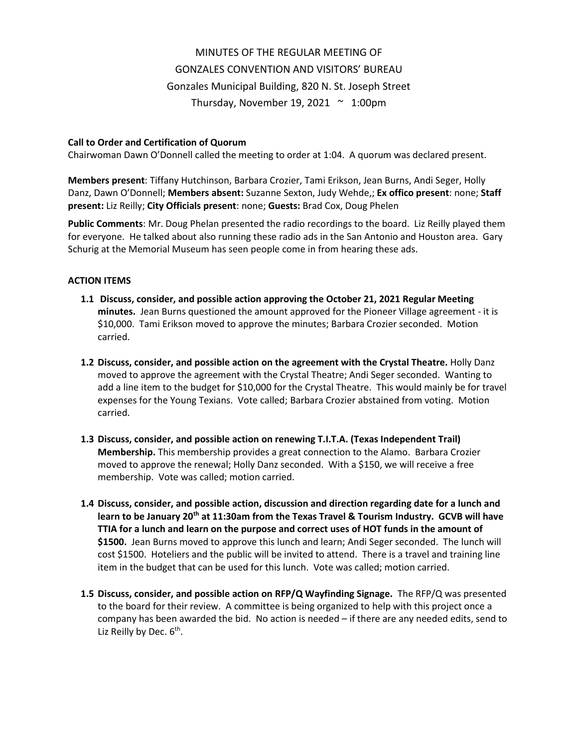## MINUTES OF THE REGULAR MEETING OF GONZALES CONVENTION AND VISITORS' BUREAU Gonzales Municipal Building, 820 N. St. Joseph Street Thursday, November 19, 2021  $\sim$  1:00pm

## **Call to Order and Certification of Quorum**

Chairwoman Dawn O'Donnell called the meeting to order at 1:04. A quorum was declared present.

**Members present**: Tiffany Hutchinson, Barbara Crozier, Tami Erikson, Jean Burns, Andi Seger, Holly Danz, Dawn O'Donnell; **Members absent:** Suzanne Sexton, Judy Wehde,; **Ex offico present**: none; **Staff present:** Liz Reilly; **City Officials present**: none; **Guests:** Brad Cox, Doug Phelen

**Public Comments**: Mr. Doug Phelan presented the radio recordings to the board. Liz Reilly played them for everyone. He talked about also running these radio ads in the San Antonio and Houston area. Gary Schurig at the Memorial Museum has seen people come in from hearing these ads.

## **ACTION ITEMS**

- **1.1 Discuss, consider, and possible action approving the October 21, 2021 Regular Meeting minutes.** Jean Burns questioned the amount approved for the Pioneer Village agreement - it is \$10,000. Tami Erikson moved to approve the minutes; Barbara Crozier seconded. Motion carried.
- **1.2 Discuss, consider, and possible action on the agreement with the Crystal Theatre.** Holly Danz moved to approve the agreement with the Crystal Theatre; Andi Seger seconded. Wanting to add a line item to the budget for \$10,000 for the Crystal Theatre. This would mainly be for travel expenses for the Young Texians. Vote called; Barbara Crozier abstained from voting. Motion carried.
- **1.3 Discuss, consider, and possible action on renewing T.I.T.A. (Texas Independent Trail) Membership.** This membership provides a great connection to the Alamo. Barbara Crozier moved to approve the renewal; Holly Danz seconded. With a \$150, we will receive a free membership. Vote was called; motion carried.
- **1.4 Discuss, consider, and possible action, discussion and direction regarding date for a lunch and learn to be January 20th at 11:30am from the Texas Travel & Tourism Industry. GCVB will have TTIA for a lunch and learn on the purpose and correct uses of HOT funds in the amount of \$1500.** Jean Burns moved to approve this lunch and learn; Andi Seger seconded. The lunch will cost \$1500. Hoteliers and the public will be invited to attend. There is a travel and training line item in the budget that can be used for this lunch. Vote was called; motion carried.
- **1.5 Discuss, consider, and possible action on RFP/Q Wayfinding Signage.** The RFP/Q was presented to the board for their review. A committee is being organized to help with this project once a company has been awarded the bid. No action is needed – if there are any needed edits, send to Liz Reilly by Dec. 6<sup>th</sup>.